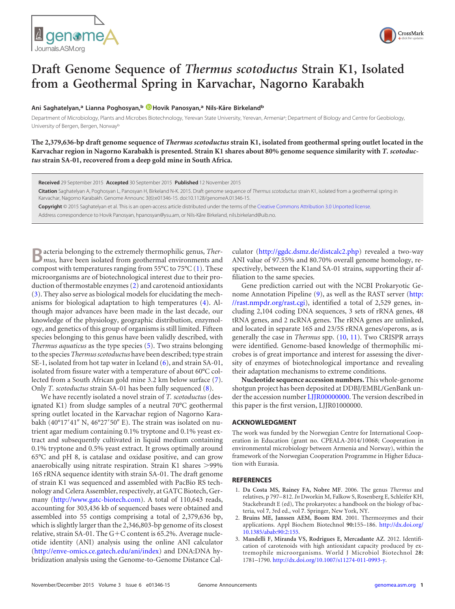



## **Draft Genome Sequence of** *Thermus scotoductus* **Strain K1, Isolated from a Geothermal Spring in Karvachar, Nagorno Karabakh**

## **Ani Saghatelyan,<sup>a</sup> Lianna Poghosyan,<sup>b</sup> Hovik Panosyan,<sup>a</sup> Nils-Kåre Birkeland<sup>b</sup>**

Department of Microbiology, Plants and Microbes Biotechnology, Yerevan State University, Yerevan, Armenia<sup>a</sup>; Department of Biology and Centre for Geobiology, University of Bergen, Bergen, Norway<sup>t</sup>

**The 2,379,636-bp draft genome sequence of** *Thermus scotoductus* **strain K1, isolated from geothermal spring outlet located in the Karvachar region in Nagorno Karabakh is presented. Strain K1 shares about 80% genome sequence similarity with** *T. scotoductus* **strain SA-01, recovered from a deep gold mine in South Africa.**

**Received** 29 September 2015 **Accepted** 30 September 2015 **Published** 12 November 2015

**Citation** Saghatelyan A, Poghosyan L, Panosyan H, Birkeland N-K. 2015. Draft genome sequence of *Thermus scotoductus* strain K1, isolated from a geothermal spring in Karvachar, Nagorno Karabakh. Genome Announc 3(6):e01346-15. doi:10.1128/genomeA.01346-15.

**Copyright** © 2015 Saghatelyan et al. This is an open-access article distributed under the terms of the Creative Commons Attribution 3.0 Unported license.

Address correspondence to Hovik Panosyan, hpanosyan@ysu.am, or Nils-Kåre Birkeland, nils.birkeland@uib.no.

**B**acteria belonging to the extremely thermophilic genus, *Ther-mus,* have been isolated from geothermal environments and compost with temperatures ranging from 55°C to 75°C [\(1\)](#page-0-0). These microorganisms are of biotechnological interest due to their production of thermostable enzymes [\(2\)](#page-0-1) and carotenoid antioxidants [\(3\)](#page-0-2). They also serve as biological models for elucidating the mechanisms for biological adaptation to high temperatures [\(4\)](#page-1-0). Although major advances have been made in the last decade, our knowledge of the physiology, geographic distribution, enzymology, and genetics of this group of organisms is still limited. Fifteen species belonging to this genus have been validly described, with *Thermus aquaticus* as the type species [\(5\)](#page-1-1). Two strains belonging to the species *Thermus scotoductus* have been described; type strain SE-1, isolated from hot tap water in Iceland [\(6\)](#page-1-2), and strain SA-01, isolated from fissure water with a temperature of about 60°C collected from a South African gold mine 3.2 km below surface [\(7\)](#page-1-3). Only *T. scotoductus* strain SA-01 has been fully sequenced [\(8\)](#page-1-4).

We have recently isolated a novel strain of *T. scotoductus* (designated K1) from sludge samples of a neutral 70°C geothermal spring outlet located in the Karvachar region of Nagorno Karabakh (40°17′41″ N, 46°27′50″ E). The strain was isolated on nutrient agar medium containing 0.1% tryptone and 0.1% yeast extract and subsequently cultivated in liquid medium containing 0.1% tryptone and 0.5% yeast extract. It grows optimally around 65°C and pH 8, is catalase and oxidase positive, and can grow anaerobically using nitrate respiration. Strain  $K1$  shares  $>$ 99% 16S rRNA sequence identity with strain SA-01. The draft genome of strain K1 was sequenced and assembled with PacBio RS technology and Celera Assembler, respectively, at GATC Biotech, Germany (http://www.gatc-biotech.com). A total of 110,643 reads, accounting for 303,436 kb of sequenced bases were obtained and assembled into 55 contigs comprising a total of 2,379,636 bp, which is slightly larger than the 2,346,803-bp genome of its closest relative, strain SA-01. The G+C content is 65.2%. Average nucleotide identity (ANI) analysis using the online ANI calculator (http://enve-omics.ce.gatech.edu/ani/index) and DNA:DNA hybridization analysis using the Genome-to-Genome Distance Calculator (http://ggdc.dsmz.de/distcalc2.php) revealed a two-way ANI value of 97.55% and 80.70% overall genome homology, respectively, between the K1and SA-01 strains, supporting their affiliation to the same species.

Gene prediction carried out with the NCBI Prokaryotic Ge-nome Annotation Pipeline [\(9\)](#page-1-5), as well as the RAST server (http: //rast.nmpdr.org/rast.cgi), identified a total of 2,529 genes, including 2,104 coding DNA sequences, 3 sets of rRNA genes, 48 tRNA genes, and 2 ncRNA genes. The rRNA genes are unlinked, and located in separate 16S and 23/5S rRNA genes/operons, as is generally the case in *Thermus* spp. [\(10,](#page-1-6) [11\)](#page-1-7). Two CRISPR arrays were identified. Genome-based knowledge of thermophilic microbes is of great importance and interest for assessing the diversity of enzymes of biotechnological importance and revealing their adaptation mechanisms to extreme conditions.

**Nucleotide sequence accession numbers.**This whole-genome shotgun project has been deposited at DDBJ/EMBL/GenBank under the accession number LJJR00000000. The version described in this paper is the first version, LJJR01000000.

## **ACKNOWLEDGMENT**

The work was funded by the Norwegian Centre for International Cooperation in Education (grant no. CPEALA-2014/10068; Cooperation in environmental microbiology between Armenia and Norway), within the framework of the Norwegian Cooperation Programme in Higher Education with Eurasia.

## <span id="page-0-0"></span>**REFERENCES**

- 1. **Da Costa MS, Rainey FA, Nobre MF**. 2006. The genus *Thermus* and relatives, p 797– 812. *In* Dworkin M, Falkow S, Rosenberg E, Schleifer KH, Stackebrandt E (ed), The prokaryotes: a handbook on the biology of bacteria, vol **7**, 3rd ed., vol **7**. Springer, New York, NY.
- <span id="page-0-1"></span>2. **Bruins ME, Janssen AEM, Boom RM**. 2001. Thermozymes and their applications. Appl Biochem Biotechnol **90:**155–186. http://dx.doi.org/ 10.1385/abab:90:2:155.
- <span id="page-0-2"></span>3. **Mandelli F, Miranda VS, Rodrigues E, Mercadante AZ**. 2012. Identification of carotenoids with high antioxidant capacity produced by extremophile microorganisms. World J Microbiol Biotechnol **28:** 1781–1790. http://dx.doi.org/10.1007/s11274-011-0993-y.